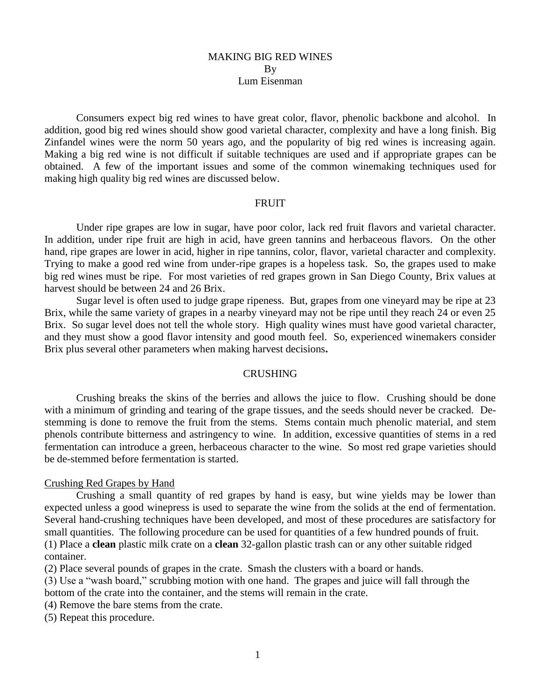## MAKING BIG RED WINES By Lum Eisenman

Consumers expect big red wines to have great color, flavor, phenolic backbone and alcohol. In addition, good big red wines should show good varietal character, complexity and have a long finish. Big Zinfandel wines were the norm 50 years ago, and the popularity of big red wines is increasing again. Making a big red wine is not difficult if suitable techniques are used and if appropriate grapes can be obtained. A few of the important issues and some of the common winemaking techniques used for making high quality big red wines are discussed below.

#### FRUIT

Under ripe grapes are low in sugar, have poor color, lack red fruit flavors and varietal character. In addition, under ripe fruit are high in acid, have green tannins and herbaceous flavors. On the other hand, ripe grapes are lower in acid, higher in ripe tannins, color, flavor, varietal character and complexity. Trying to make a good red wine from under-ripe grapes is a hopeless task. So, the grapes used to make big red wines must be ripe. For most varieties of red grapes grown in San Diego County, Brix values at harvest should be between 24 and 26 Brix.

Sugar level is often used to judge grape ripeness. But, grapes from one vineyard may be ripe at 23 Brix, while the same variety of grapes in a nearby vineyard may not be ripe until they reach 24 or even 25 Brix. So sugar level does not tell the whole story. High quality wines must have good varietal character, and they must show a good flavor intensity and good mouth feel. So, experienced winemakers consider Brix plus several other parameters when making harvest decisions**.** 

# **CRUSHING**

Crushing breaks the skins of the berries and allows the juice to flow. Crushing should be done with a minimum of grinding and tearing of the grape tissues, and the seeds should never be cracked. Destemming is done to remove the fruit from the stems. Stems contain much phenolic material, and stem phenols contribute bitterness and astringency to wine. In addition, excessive quantities of stems in a red fermentation can introduce a green, herbaceous character to the wine. So most red grape varieties should be de-stemmed before fermentation is started.

#### Crushing Red Grapes by Hand

Crushing a small quantity of red grapes by hand is easy, but wine yields may be lower than expected unless a good winepress is used to separate the wine from the solids at the end of fermentation. Several hand-crushing techniques have been developed, and most of these procedures are satisfactory for small quantities. The following procedure can be used for quantities of a few hundred pounds of fruit. (1) Place a **clean** plastic milk crate on a **clean** 32-gallon plastic trash can or any other suitable ridged container.

(2) Place several pounds of grapes in the crate. Smash the clusters with a board or hands.

(3) Use a "wash board," scrubbing motion with one hand. The grapes and juice will fall through the bottom of the crate into the container, and the stems will remain in the crate.

(4) Remove the bare stems from the crate.

(5) Repeat this procedure.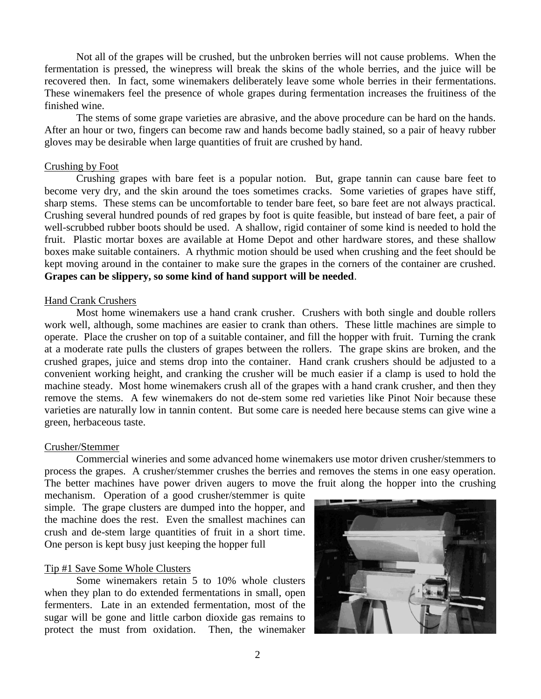Not all of the grapes will be crushed, but the unbroken berries will not cause problems. When the fermentation is pressed, the winepress will break the skins of the whole berries, and the juice will be recovered then. In fact, some winemakers deliberately leave some whole berries in their fermentations. These winemakers feel the presence of whole grapes during fermentation increases the fruitiness of the finished wine.

The stems of some grape varieties are abrasive, and the above procedure can be hard on the hands. After an hour or two, fingers can become raw and hands become badly stained, so a pair of heavy rubber gloves may be desirable when large quantities of fruit are crushed by hand.

## Crushing by Foot

Crushing grapes with bare feet is a popular notion. But, grape tannin can cause bare feet to become very dry, and the skin around the toes sometimes cracks. Some varieties of grapes have stiff, sharp stems. These stems can be uncomfortable to tender bare feet, so bare feet are not always practical. Crushing several hundred pounds of red grapes by foot is quite feasible, but instead of bare feet, a pair of well-scrubbed rubber boots should be used. A shallow, rigid container of some kind is needed to hold the fruit. Plastic mortar boxes are available at Home Depot and other hardware stores, and these shallow boxes make suitable containers. A rhythmic motion should be used when crushing and the feet should be kept moving around in the container to make sure the grapes in the corners of the container are crushed. **Grapes can be slippery, so some kind of hand support will be needed**.

# Hand Crank Crushers

Most home winemakers use a hand crank crusher. Crushers with both single and double rollers work well, although, some machines are easier to crank than others. These little machines are simple to operate. Place the crusher on top of a suitable container, and fill the hopper with fruit. Turning the crank at a moderate rate pulls the clusters of grapes between the rollers. The grape skins are broken, and the crushed grapes, juice and stems drop into the container. Hand crank crushers should be adjusted to a convenient working height, and cranking the crusher will be much easier if a clamp is used to hold the machine steady. Most home winemakers crush all of the grapes with a hand crank crusher, and then they remove the stems. A few winemakers do not de-stem some red varieties like Pinot Noir because these varieties are naturally low in tannin content. But some care is needed here because stems can give wine a green, herbaceous taste.

# Crusher/Stemmer

Commercial wineries and some advanced home winemakers use motor driven crusher/stemmers to process the grapes. A crusher/stemmer crushes the berries and removes the stems in one easy operation. The better machines have power driven augers to move the fruit along the hopper into the crushing

mechanism. Operation of a good crusher/stemmer is quite simple. The grape clusters are dumped into the hopper, and the machine does the rest. Even the smallest machines can crush and de-stem large quantities of fruit in a short time. One person is kept busy just keeping the hopper full

# Tip #1 Save Some Whole Clusters

Some winemakers retain 5 to 10% whole clusters when they plan to do extended fermentations in small, open fermenters. Late in an extended fermentation, most of the sugar will be gone and little carbon dioxide gas remains to protect the must from oxidation. Then, the winemaker

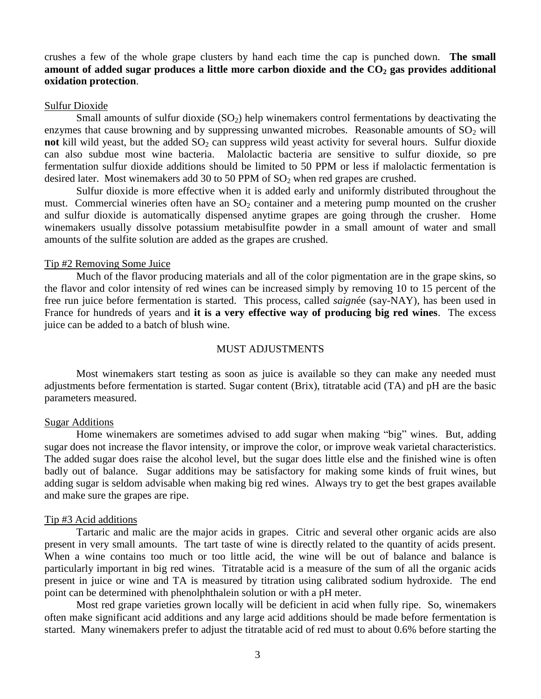crushes a few of the whole grape clusters by hand each time the cap is punched down. **The small amount of added sugar produces a little more carbon dioxide and the CO<sup>2</sup> gas provides additional oxidation protection**.

#### Sulfur Dioxide

Small amounts of sulfur dioxide  $(SO<sub>2</sub>)$  help winemakers control fermentations by deactivating the enzymes that cause browning and by suppressing unwanted microbes. Reasonable amounts of  $SO<sub>2</sub>$  will **not** kill wild yeast, but the added SO<sub>2</sub> can suppress wild yeast activity for several hours. Sulfur dioxide can also subdue most wine bacteria. Malolactic bacteria are sensitive to sulfur dioxide, so pre fermentation sulfur dioxide additions should be limited to 50 PPM or less if malolactic fermentation is desired later. Most winemakers add 30 to 50 PPM of  $SO<sub>2</sub>$  when red grapes are crushed.

Sulfur dioxide is more effective when it is added early and uniformly distributed throughout the must. Commercial wineries often have an  $SO_2$  container and a metering pump mounted on the crusher and sulfur dioxide is automatically dispensed anytime grapes are going through the crusher. Home winemakers usually dissolve potassium metabisulfite powder in a small amount of water and small amounts of the sulfite solution are added as the grapes are crushed.

#### Tip #2 Removing Some Juice

Much of the flavor producing materials and all of the color pigmentation are in the grape skins, so the flavor and color intensity of red wines can be increased simply by removing 10 to 15 percent of the free run juice before fermentation is started. This process, called *saign*ée (say-NAY), has been used in France for hundreds of years and **it is a very effective way of producing big red wines**. The excess juice can be added to a batch of blush wine.

#### MUST ADJUSTMENTS

Most winemakers start testing as soon as juice is available so they can make any needed must adjustments before fermentation is started. Sugar content (Brix), titratable acid (TA) and pH are the basic parameters measured.

#### Sugar Additions

Home winemakers are sometimes advised to add sugar when making "big" wines. But, adding sugar does not increase the flavor intensity, or improve the color, or improve weak varietal characteristics. The added sugar does raise the alcohol level, but the sugar does little else and the finished wine is often badly out of balance. Sugar additions may be satisfactory for making some kinds of fruit wines, but adding sugar is seldom advisable when making big red wines. Always try to get the best grapes available and make sure the grapes are ripe.

#### Tip #3 Acid additions

Tartaric and malic are the major acids in grapes. Citric and several other organic acids are also present in very small amounts. The tart taste of wine is directly related to the quantity of acids present. When a wine contains too much or too little acid, the wine will be out of balance and balance is particularly important in big red wines. Titratable acid is a measure of the sum of all the organic acids present in juice or wine and TA is measured by titration using calibrated sodium hydroxide. The end point can be determined with phenolphthalein solution or with a pH meter.

Most red grape varieties grown locally will be deficient in acid when fully ripe. So, winemakers often make significant acid additions and any large acid additions should be made before fermentation is started. Many winemakers prefer to adjust the titratable acid of red must to about 0.6% before starting the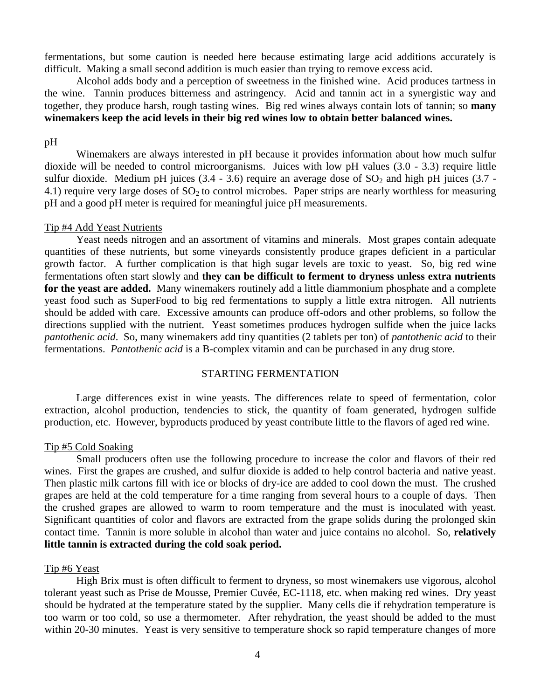fermentations, but some caution is needed here because estimating large acid additions accurately is difficult. Making a small second addition is much easier than trying to remove excess acid.

Alcohol adds body and a perception of sweetness in the finished wine. Acid produces tartness in the wine. Tannin produces bitterness and astringency. Acid and tannin act in a synergistic way and together, they produce harsh, rough tasting wines. Big red wines always contain lots of tannin; so **many winemakers keep the acid levels in their big red wines low to obtain better balanced wines.**

#### pH

Winemakers are always interested in pH because it provides information about how much sulfur dioxide will be needed to control microorganisms. Juices with low pH values (3.0 - 3.3) require little sulfur dioxide. Medium pH juices  $(3.4 - 3.6)$  require an average dose of  $SO<sub>2</sub>$  and high pH juices  $(3.7 -$ 4.1) require very large doses of  $SO<sub>2</sub>$  to control microbes. Paper strips are nearly worthless for measuring pH and a good pH meter is required for meaningful juice pH measurements.

#### Tip #4 Add Yeast Nutrients

Yeast needs nitrogen and an assortment of vitamins and minerals. Most grapes contain adequate quantities of these nutrients, but some vineyards consistently produce grapes deficient in a particular growth factor. A further complication is that high sugar levels are toxic to yeast. So, big red wine fermentations often start slowly and **they can be difficult to ferment to dryness unless extra nutrients for the yeast are added.** Many winemakers routinely add a little diammonium phosphate and a complete yeast food such as SuperFood to big red fermentations to supply a little extra nitrogen. All nutrients should be added with care. Excessive amounts can produce off-odors and other problems, so follow the directions supplied with the nutrient. Yeast sometimes produces hydrogen sulfide when the juice lacks *pantothenic acid*. So, many winemakers add tiny quantities (2 tablets per ton) of *pantothenic acid* to their fermentations. *Pantothenic acid* is a B-complex vitamin and can be purchased in any drug store.

# STARTING FERMENTATION

Large differences exist in wine yeasts. The differences relate to speed of fermentation, color extraction, alcohol production, tendencies to stick, the quantity of foam generated, hydrogen sulfide production, etc. However, byproducts produced by yeast contribute little to the flavors of aged red wine.

#### Tip #5 Cold Soaking

Small producers often use the following procedure to increase the color and flavors of their red wines. First the grapes are crushed, and sulfur dioxide is added to help control bacteria and native yeast. Then plastic milk cartons fill with ice or blocks of dry-ice are added to cool down the must. The crushed grapes are held at the cold temperature for a time ranging from several hours to a couple of days. Then the crushed grapes are allowed to warm to room temperature and the must is inoculated with yeast. Significant quantities of color and flavors are extracted from the grape solids during the prolonged skin contact time. Tannin is more soluble in alcohol than water and juice contains no alcohol. So, **relatively little tannin is extracted during the cold soak period.** 

## Tip #6 Yeast

High Brix must is often difficult to ferment to dryness, so most winemakers use vigorous, alcohol tolerant yeast such as Prise de Mousse, Premier Cuvée, EC-1118, etc. when making red wines. Dry yeast should be hydrated at the temperature stated by the supplier. Many cells die if rehydration temperature is too warm or too cold, so use a thermometer. After rehydration, the yeast should be added to the must within 20-30 minutes. Yeast is very sensitive to temperature shock so rapid temperature changes of more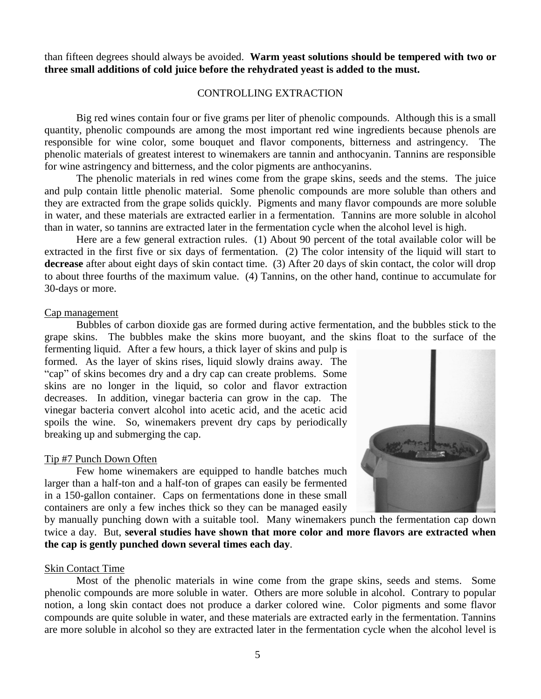than fifteen degrees should always be avoided. **Warm yeast solutions should be tempered with two or three small additions of cold juice before the rehydrated yeast is added to the must.**

# CONTROLLING EXTRACTION

Big red wines contain four or five grams per liter of phenolic compounds. Although this is a small quantity, phenolic compounds are among the most important red wine ingredients because phenols are responsible for wine color, some bouquet and flavor components, bitterness and astringency. The phenolic materials of greatest interest to winemakers are tannin and anthocyanin. Tannins are responsible for wine astringency and bitterness, and the color pigments are anthocyanins.

The phenolic materials in red wines come from the grape skins, seeds and the stems. The juice and pulp contain little phenolic material. Some phenolic compounds are more soluble than others and they are extracted from the grape solids quickly. Pigments and many flavor compounds are more soluble in water, and these materials are extracted earlier in a fermentation. Tannins are more soluble in alcohol than in water, so tannins are extracted later in the fermentation cycle when the alcohol level is high.

Here are a few general extraction rules. (1) About 90 percent of the total available color will be extracted in the first five or six days of fermentation. (2) The color intensity of the liquid will start to **decrease** after about eight days of skin contact time. (3) After 20 days of skin contact, the color will drop to about three fourths of the maximum value. (4) Tannins, on the other hand, continue to accumulate for 30-days or more.

## Cap management

Bubbles of carbon dioxide gas are formed during active fermentation, and the bubbles stick to the grape skins. The bubbles make the skins more buoyant, and the skins float to the surface of the

fermenting liquid. After a few hours, a thick layer of skins and pulp is formed. As the layer of skins rises, liquid slowly drains away. The "cap" of skins becomes dry and a dry cap can create problems. Some skins are no longer in the liquid, so color and flavor extraction decreases. In addition, vinegar bacteria can grow in the cap. The vinegar bacteria convert alcohol into acetic acid, and the acetic acid spoils the wine. So, winemakers prevent dry caps by periodically breaking up and submerging the cap.

# Tip #7 Punch Down Often

Few home winemakers are equipped to handle batches much larger than a half-ton and a half-ton of grapes can easily be fermented in a 150-gallon container. Caps on fermentations done in these small containers are only a few inches thick so they can be managed easily



by manually punching down with a suitable tool. Many winemakers punch the fermentation cap down twice a day. But, **several studies have shown that more color and more flavors are extracted when the cap is gently punched down several times each day**.

# Skin Contact Time

Most of the phenolic materials in wine come from the grape skins, seeds and stems. Some phenolic compounds are more soluble in water. Others are more soluble in alcohol. Contrary to popular notion, a long skin contact does not produce a darker colored wine. Color pigments and some flavor compounds are quite soluble in water, and these materials are extracted early in the fermentation. Tannins are more soluble in alcohol so they are extracted later in the fermentation cycle when the alcohol level is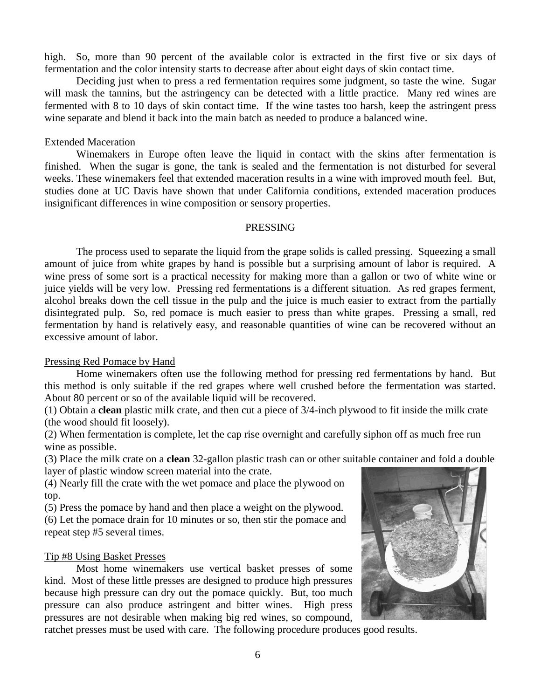high. So, more than 90 percent of the available color is extracted in the first five or six days of fermentation and the color intensity starts to decrease after about eight days of skin contact time.

Deciding just when to press a red fermentation requires some judgment, so taste the wine. Sugar will mask the tannins, but the astringency can be detected with a little practice. Many red wines are fermented with 8 to 10 days of skin contact time. If the wine tastes too harsh, keep the astringent press wine separate and blend it back into the main batch as needed to produce a balanced wine.

#### Extended Maceration

Winemakers in Europe often leave the liquid in contact with the skins after fermentation is finished. When the sugar is gone, the tank is sealed and the fermentation is not disturbed for several weeks. These winemakers feel that extended maceration results in a wine with improved mouth feel. But, studies done at UC Davis have shown that under California conditions, extended maceration produces insignificant differences in wine composition or sensory properties.

## PRESSING

The process used to separate the liquid from the grape solids is called pressing. Squeezing a small amount of juice from white grapes by hand is possible but a surprising amount of labor is required. A wine press of some sort is a practical necessity for making more than a gallon or two of white wine or juice yields will be very low. Pressing red fermentations is a different situation. As red grapes ferment, alcohol breaks down the cell tissue in the pulp and the juice is much easier to extract from the partially disintegrated pulp. So, red pomace is much easier to press than white grapes. Pressing a small, red fermentation by hand is relatively easy, and reasonable quantities of wine can be recovered without an excessive amount of labor.

# Pressing Red Pomace by Hand

Home winemakers often use the following method for pressing red fermentations by hand. But this method is only suitable if the red grapes where well crushed before the fermentation was started. About 80 percent or so of the available liquid will be recovered.

(1) Obtain a **clean** plastic milk crate, and then cut a piece of 3/4-inch plywood to fit inside the milk crate (the wood should fit loosely).

(2) When fermentation is complete, let the cap rise overnight and carefully siphon off as much free run wine as possible.

(3) Place the milk crate on a **clean** 32-gallon plastic trash can or other suitable container and fold a double layer of plastic window screen material into the crate.

(4) Nearly fill the crate with the wet pomace and place the plywood on top.

(5) Press the pomace by hand and then place a weight on the plywood. (6) Let the pomace drain for 10 minutes or so, then stir the pomace and repeat step #5 several times.

# Tip #8 Using Basket Presses

Most home winemakers use vertical basket presses of some kind. Most of these little presses are designed to produce high pressures because high pressure can dry out the pomace quickly. But, too much pressure can also produce astringent and bitter wines. High press pressures are not desirable when making big red wines, so compound,



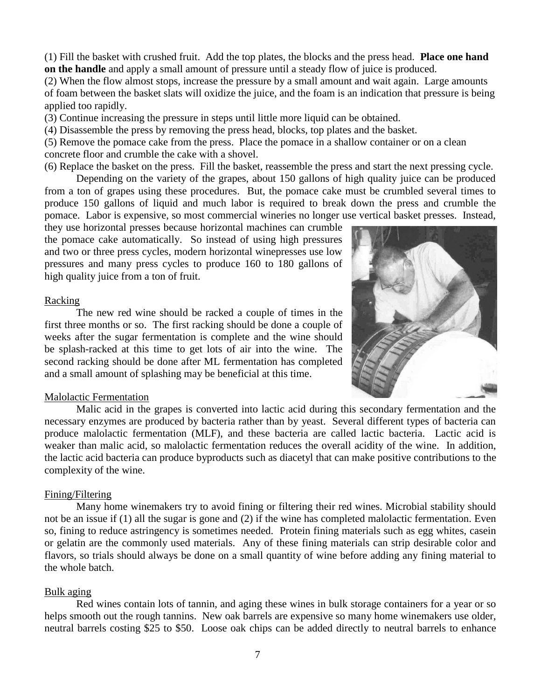(1) Fill the basket with crushed fruit. Add the top plates, the blocks and the press head. **Place one hand on the handle** and apply a small amount of pressure until a steady flow of juice is produced.

(2) When the flow almost stops, increase the pressure by a small amount and wait again. Large amounts of foam between the basket slats will oxidize the juice, and the foam is an indication that pressure is being applied too rapidly.

(3) Continue increasing the pressure in steps until little more liquid can be obtained.

(4) Disassemble the press by removing the press head, blocks, top plates and the basket.

(5) Remove the pomace cake from the press. Place the pomace in a shallow container or on a clean concrete floor and crumble the cake with a shovel.

(6) Replace the basket on the press. Fill the basket, reassemble the press and start the next pressing cycle.

Depending on the variety of the grapes, about 150 gallons of high quality juice can be produced from a ton of grapes using these procedures. But, the pomace cake must be crumbled several times to produce 150 gallons of liquid and much labor is required to break down the press and crumble the pomace. Labor is expensive, so most commercial wineries no longer use vertical basket presses. Instead,

they use horizontal presses because horizontal machines can crumble the pomace cake automatically. So instead of using high pressures and two or three press cycles, modern horizontal winepresses use low pressures and many press cycles to produce 160 to 180 gallons of high quality juice from a ton of fruit.

## Racking

The new red wine should be racked a couple of times in the first three months or so. The first racking should be done a couple of weeks after the sugar fermentation is complete and the wine should be splash-racked at this time to get lots of air into the wine. The second racking should be done after ML fermentation has completed and a small amount of splashing may be beneficial at this time.



## Malolactic Fermentation

Malic acid in the grapes is converted into lactic acid during this secondary fermentation and the necessary enzymes are produced by bacteria rather than by yeast. Several different types of bacteria can produce malolactic fermentation (MLF), and these bacteria are called lactic bacteria. Lactic acid is weaker than malic acid, so malolactic fermentation reduces the overall acidity of the wine. In addition, the lactic acid bacteria can produce byproducts such as diacetyl that can make positive contributions to the complexity of the wine.

## Fining/Filtering

Many home winemakers try to avoid fining or filtering their red wines. Microbial stability should not be an issue if (1) all the sugar is gone and (2) if the wine has completed malolactic fermentation. Even so, fining to reduce astringency is sometimes needed. Protein fining materials such as egg whites, casein or gelatin are the commonly used materials. Any of these fining materials can strip desirable color and flavors, so trials should always be done on a small quantity of wine before adding any fining material to the whole batch.

# Bulk aging

Red wines contain lots of tannin, and aging these wines in bulk storage containers for a year or so helps smooth out the rough tannins. New oak barrels are expensive so many home winemakers use older, neutral barrels costing \$25 to \$50. Loose oak chips can be added directly to neutral barrels to enhance